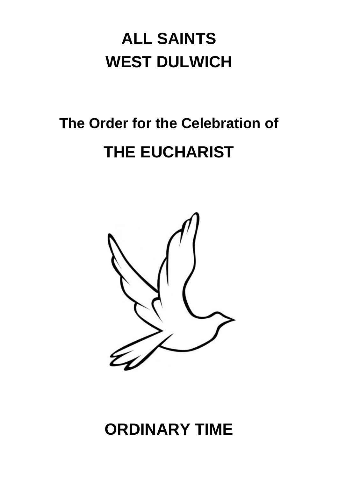## **ALL SAINTS WEST DULWICH**

# **The Order for the Celebration of THE EUCHARIST**



## **ORDINARY TIME**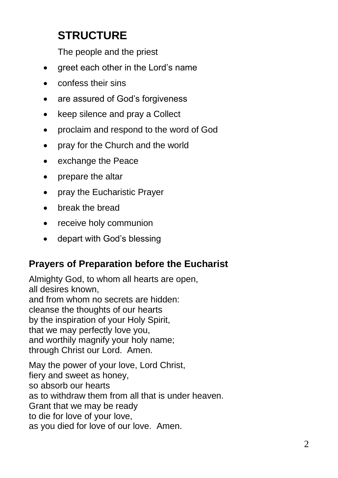### **STRUCTURE**

The people and the priest

- greet each other in the Lord's name
- confess their sins
- are assured of God's forgiveness
- keep silence and pray a Collect
- proclaim and respond to the word of God
- pray for the Church and the world
- exchange the Peace
- prepare the altar
- pray the Eucharistic Prayer
- break the bread
- receive holy communion
- depart with God's blessing

#### **Prayers of Preparation before the Eucharist**

Almighty God, to whom all hearts are open, all desires known, and from whom no secrets are hidden: cleanse the thoughts of our hearts by the inspiration of your Holy Spirit, that we may perfectly love you, and worthily magnify your holy name; through Christ our Lord. Amen.

May the power of your love, Lord Christ, fiery and sweet as honey, so absorb our hearts as to withdraw them from all that is under heaven. Grant that we may be ready to die for love of your love, as you died for love of our love. Amen.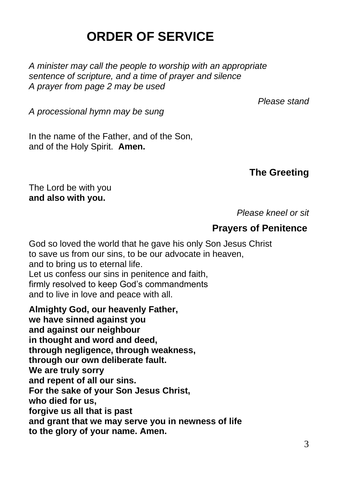### **ORDER OF SERVICE**

*A minister may call the people to worship with an appropriate sentence of scripture, and a time of prayer and silence A prayer from page 2 may be used*

*Please stand*

*A processional hymn may be sung* 

In the name of the Father, and of the Son, and of the Holy Spirit. **Amen.**

#### **The Greeting**

The Lord be with you **and also with you.**

*Please kneel or sit*

#### **Prayers of Penitence**

God so loved the world that he gave his only Son Jesus Christ to save us from our sins, to be our advocate in heaven, and to bring us to eternal life. Let us confess our sins in penitence and faith, firmly resolved to keep God's commandments and to live in love and peace with all.

**Almighty God, our heavenly Father, we have sinned against you and against our neighbour in thought and word and deed, through negligence, through weakness, through our own deliberate fault. We are truly sorry and repent of all our sins. For the sake of your Son Jesus Christ, who died for us, forgive us all that is past and grant that we may serve you in newness of life to the glory of your name. Amen.**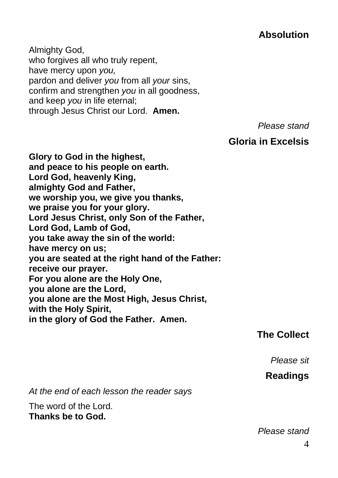#### **Absolution**

Almighty God, who forgives all who truly repent, have mercy upon *you,* pardon and deliver *you* from all *your* sins, confirm and strengthen *you* in all goodness, and keep *you* in life eternal; through Jesus Christ our Lord. **Amen.**

*Please stand*

#### **Gloria in Excelsis**

**Glory to God in the highest, and peace to his people on earth. Lord God, heavenly King, almighty God and Father, we worship you, we give you thanks, we praise you for your glory. Lord Jesus Christ, only Son of the Father, Lord God, Lamb of God, you take away the sin of the world: have mercy on us; you are seated at the right hand of the Father: receive our prayer. For you alone are the Holy One, you alone are the Lord, you alone are the Most High, Jesus Christ, with the Holy Spirit, in the glory of God the Father. Amen.**

#### **The Collect**

*Please sit*

#### **Readings**

*At the end of each lesson the reader says*

The word of the Lord. **Thanks be to God.**

*Please stand*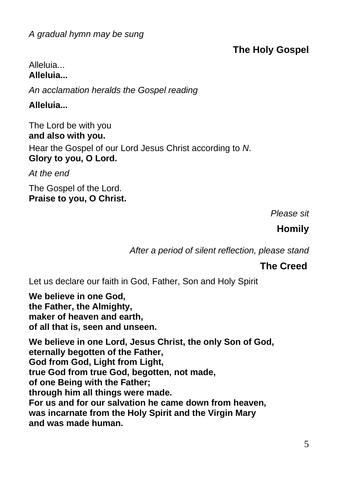#### **The Holy Gospel**

#### Alleluia... **Alleluia...**

*An acclamation heralds the Gospel reading*

**Alleluia...**

The Lord be with you **and also with you.**

Hear the Gospel of our Lord Jesus Christ according to *N*. **Glory to you, O Lord.**

*At the end*

The Gospel of the Lord. **Praise to you, O Christ.**

*Please sit*

#### **Homily**

*After a period of silent reflection, please stand*

#### **The Creed**

Let us declare our faith in God, Father, Son and Holy Spirit

**We believe in one God, the Father, the Almighty, maker of heaven and earth, of all that is, seen and unseen.**

**We believe in one Lord, Jesus Christ, the only Son of God, eternally begotten of the Father, God from God, Light from Light, true God from true God, begotten, not made, of one Being with the Father; through him all things were made. For us and for our salvation he came down from heaven, was incarnate from the Holy Spirit and the Virgin Mary and was made human.**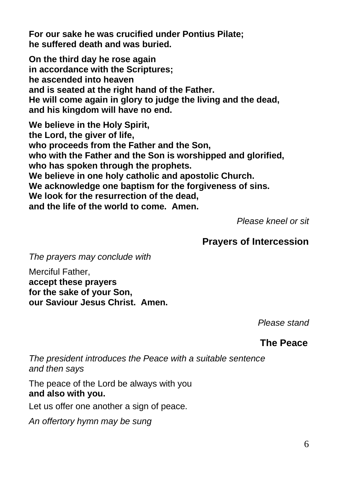**For our sake he was crucified under Pontius Pilate; he suffered death and was buried.**

**On the third day he rose again in accordance with the Scriptures; he ascended into heaven and is seated at the right hand of the Father. He will come again in glory to judge the living and the dead, and his kingdom will have no end.**

**We believe in the Holy Spirit, the Lord, the giver of life, who proceeds from the Father and the Son, who with the Father and the Son is worshipped and glorified, who has spoken through the prophets. We believe in one holy catholic and apostolic Church. We acknowledge one baptism for the forgiveness of sins. We look for the resurrection of the dead, and the life of the world to come. Amen.**

*Please kneel or sit*

#### **Prayers of Intercession**

*The prayers may conclude with*

Merciful Father, **accept these prayers for the sake of your Son, our Saviour Jesus Christ. Amen.**

*Please stand*

**The Peace**

*The president introduces the Peace with a suitable sentence and then says*

The peace of the Lord be always with you **and also with you.**

Let us offer one another a sign of peace.

*An offertory hymn may be sung*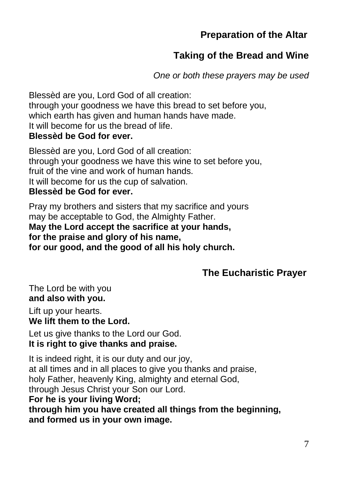#### **Preparation of the Altar**

#### **Taking of the Bread and Wine**

*One or both these prayers may be used*

Blessèd are you, Lord God of all creation: through your goodness we have this bread to set before you, which earth has given and human hands have made. It will become for us the bread of life. **Blessèd be God for ever.**

Blessèd are you, Lord God of all creation: through your goodness we have this wine to set before you, fruit of the vine and work of human hands. It will become for us the cup of salvation. **Blessèd be God for ever.**

Pray my brothers and sisters that my sacrifice and yours may be acceptable to God, the Almighty Father. **May the Lord accept the sacrifice at your hands, for the praise and glory of his name, for our good, and the good of all his holy church.**

#### **The Eucharistic Prayer**

The Lord be with you **and also with you.**

Lift up your hearts. **We lift them to the Lord.**

Let us give thanks to the Lord our God. **It is right to give thanks and praise.**

It is indeed right, it is our duty and our joy, at all times and in all places to give you thanks and praise, holy Father, heavenly King, almighty and eternal God, through Jesus Christ your Son our Lord. **For he is your living Word; through him you have created all things from the beginning, and formed us in your own image.**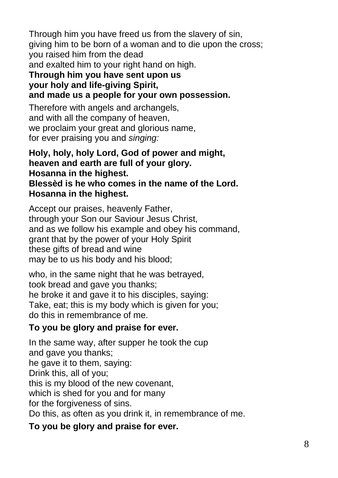Through him you have freed us from the slavery of sin, giving him to be born of a woman and to die upon the cross; you raised him from the dead and exalted him to your right hand on high.

#### **Through him you have sent upon us your holy and life-giving Spirit, and made us a people for your own possession.**

Therefore with angels and archangels, and with all the company of heaven, we proclaim your great and glorious name, for ever praising you and *singing:*

#### **Holy, holy, holy Lord, God of power and might, heaven and earth are full of your glory. Hosanna in the highest. Blessèd is he who comes in the name of the Lord. Hosanna in the highest.**

Accept our praises, heavenly Father, through your Son our Saviour Jesus Christ, and as we follow his example and obey his command, grant that by the power of your Holy Spirit these gifts of bread and wine may be to us his body and his blood;

who, in the same night that he was betrayed, took bread and gave you thanks; he broke it and gave it to his disciples, saying: Take, eat; this is my body which is given for you; do this in remembrance of me.

#### **To you be glory and praise for ever.**

In the same way, after supper he took the cup and gave you thanks; he gave it to them, saying: Drink this, all of you; this is my blood of the new covenant, which is shed for you and for many for the forgiveness of sins. Do this, as often as you drink it, in remembrance of me.

#### **To you be glory and praise for ever.**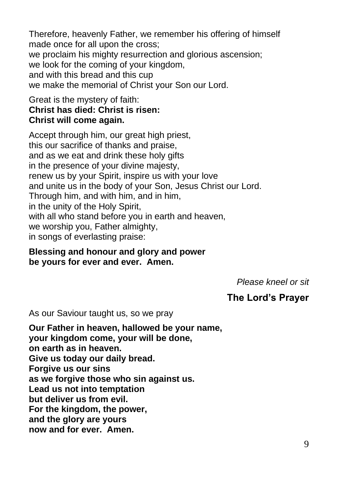Therefore, heavenly Father, we remember his offering of himself made once for all upon the cross; we proclaim his mighty resurrection and glorious ascension; we look for the coming of your kingdom, and with this bread and this cup we make the memorial of Christ your Son our Lord.

#### Great is the mystery of faith: **Christ has died: Christ is risen: Christ will come again.**

Accept through him, our great high priest, this our sacrifice of thanks and praise, and as we eat and drink these holy gifts in the presence of your divine majesty, renew us by your Spirit, inspire us with your love and unite us in the body of your Son, Jesus Christ our Lord. Through him, and with him, and in him, in the unity of the Holy Spirit, with all who stand before you in earth and heaven, we worship you, Father almighty, in songs of everlasting praise:

#### **Blessing and honour and glory and power be yours for ever and ever. Amen.**

*Please kneel or sit*

#### **The Lord's Prayer**

As our Saviour taught us, so we pray

**Our Father in heaven, hallowed be your name, your kingdom come, your will be done, on earth as in heaven. Give us today our daily bread. Forgive us our sins as we forgive those who sin against us. Lead us not into temptation but deliver us from evil. For the kingdom, the power, and the glory are yours now and for ever. Amen.**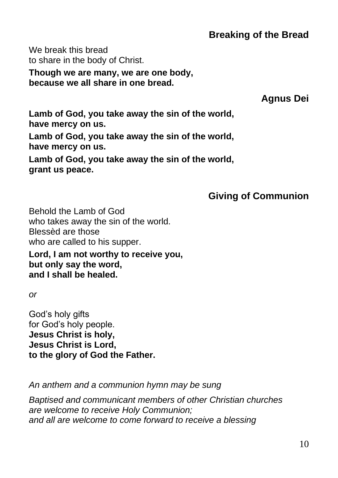#### **Breaking of the Bread**

We break this bread to share in the body of Christ.

**Though we are many, we are one body, because we all share in one bread.**

**Agnus Dei**

**Lamb of God, you take away the sin of the world, have mercy on us.**

**Lamb of God, you take away the sin of the world, have mercy on us.**

**Lamb of God, you take away the sin of the world, grant us peace.**

#### **Giving of Communion**

Behold the Lamb of God who takes away the sin of the world. Blessèd are those who are called to his supper.

**Lord, I am not worthy to receive you, but only say the word, and I shall be healed.**

*or* 

God's holy gifts for God's holy people. **Jesus Christ is holy, Jesus Christ is Lord, to the glory of God the Father.**

*An anthem and a communion hymn may be sung*

*Baptised and communicant members of other Christian churches are welcome to receive Holy Communion; and all are welcome to come forward to receive a blessing*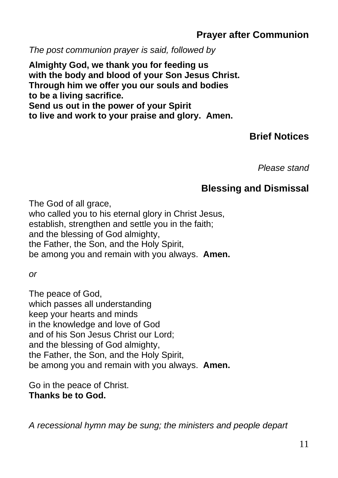#### **Prayer after Communion**

*The post communion prayer is said, followed by*

**Almighty God, we thank you for feeding us with the body and blood of your Son Jesus Christ. Through him we offer you our souls and bodies to be a living sacrifice. Send us out in the power of your Spirit to live and work to your praise and glory. Amen.**

#### **Brief Notices**

*Please stand*

#### **Blessing and Dismissal**

The God of all grace. who called you to his eternal glory in Christ Jesus, establish, strengthen and settle you in the faith; and the blessing of God almighty, the Father, the Son, and the Holy Spirit, be among you and remain with you always. **Amen.**

*or* 

The peace of God, which passes all understanding keep your hearts and minds in the knowledge and love of God and of his Son Jesus Christ our Lord; and the blessing of God almighty, the Father, the Son, and the Holy Spirit, be among you and remain with you always. **Amen.**

Go in the peace of Christ. **Thanks be to God.**

*A recessional hymn may be sung; the ministers and people depart*